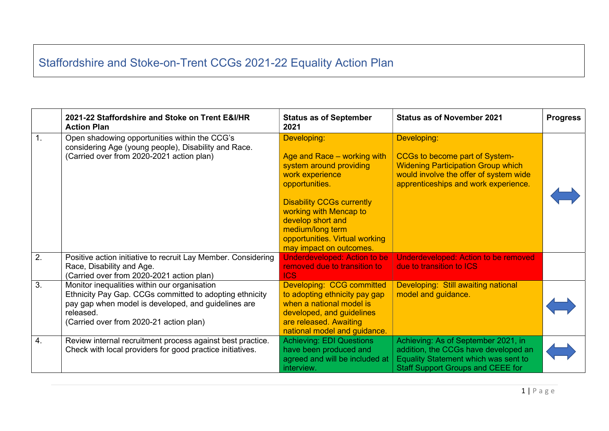## Staffordshire and Stoke-on-Trent CCGs 2021-22 Equality Action Plan

|    | 2021-22 Staffordshire and Stoke on Trent E&I/HR<br><b>Action Plan</b>                                                                                                                                                  | <b>Status as of September</b><br>2021                                                                                                                                                                                                                                          | <b>Status as of November 2021</b>                                                                                                                                                   | <b>Progress</b> |
|----|------------------------------------------------------------------------------------------------------------------------------------------------------------------------------------------------------------------------|--------------------------------------------------------------------------------------------------------------------------------------------------------------------------------------------------------------------------------------------------------------------------------|-------------------------------------------------------------------------------------------------------------------------------------------------------------------------------------|-----------------|
| 1. | Open shadowing opportunities within the CCG's<br>considering Age (young people), Disability and Race.<br>(Carried over from 2020-2021 action plan)                                                                     | Developing:<br>Age and Race - working with<br>system around providing<br>work experience<br>opportunities.<br><b>Disability CCGs currently</b><br>working with Mencap to<br>develop short and<br>medium/long term<br>opportunities. Virtual working<br>may impact on outcomes. | Developing:<br><b>CCGs to become part of System-</b><br><b>Widening Participation Group which</b><br>would involve the offer of system wide<br>apprenticeships and work experience. |                 |
| 2. | Positive action initiative to recruit Lay Member. Considering<br>Race, Disability and Age.<br>(Carried over from 2020-2021 action plan)                                                                                | <b>Underdeveloped: Action to be</b><br>removed due to transition to<br><b>ICS</b>                                                                                                                                                                                              | <b>Underdeveloped: Action to be removed</b><br>due to transition to ICS                                                                                                             |                 |
| 3. | Monitor inequalities within our organisation<br>Ethnicity Pay Gap. CCGs committed to adopting ethnicity<br>pay gap when model is developed, and guidelines are<br>released.<br>(Carried over from 2020-21 action plan) | Developing: CCG committed<br>to adopting ethnicity pay gap<br>when a national model is<br>developed, and guidelines<br>are released. Awaiting<br>national model and guidance.                                                                                                  | Developing: Still awaiting national<br>model and guidance.                                                                                                                          |                 |
| 4. | Review internal recruitment process against best practice.<br>Check with local providers for good practice initiatives.                                                                                                | <b>Achieving: EDI Questions</b><br>have been produced and<br>agreed and will be included at<br>interview.                                                                                                                                                                      | Achieving: As of September 2021, in<br>addition, the CCGs have developed an<br>Equality Statement which was sent to<br><b>Staff Support Groups and CEEE for</b>                     |                 |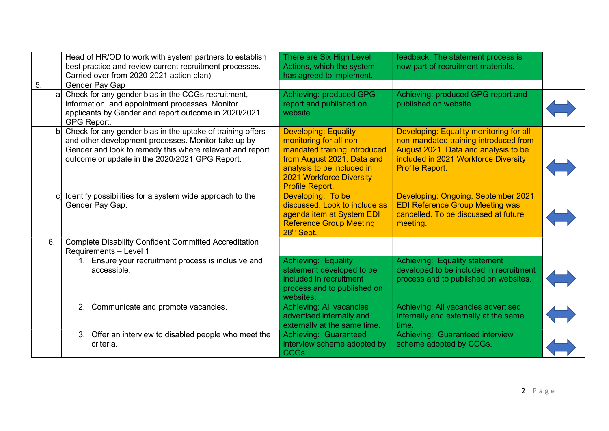|              | Head of HR/OD to work with system partners to establish<br>best practice and review current recruitment processes.<br>Carried over from 2020-2021 action plan)                                                                  | There are Six High Level<br>Actions, which the system<br>has agreed to implement.                                                                                                                        | feedback. The statement process is<br>now part of recruitment materials.                                                                                                            |  |
|--------------|---------------------------------------------------------------------------------------------------------------------------------------------------------------------------------------------------------------------------------|----------------------------------------------------------------------------------------------------------------------------------------------------------------------------------------------------------|-------------------------------------------------------------------------------------------------------------------------------------------------------------------------------------|--|
| 5.           | Gender Pay Gap                                                                                                                                                                                                                  |                                                                                                                                                                                                          |                                                                                                                                                                                     |  |
| a            | Check for any gender bias in the CCGs recruitment,<br>information, and appointment processes. Monitor<br>applicants by Gender and report outcome in 2020/2021<br>GPG Report.                                                    | Achieving: produced GPG<br>report and published on<br>website.                                                                                                                                           | Achieving: produced GPG report and<br>published on website.                                                                                                                         |  |
| $\mathsf{b}$ | Check for any gender bias in the uptake of training offers<br>and other development processes. Monitor take up by<br>Gender and look to remedy this where relevant and report<br>outcome or update in the 2020/2021 GPG Report. | <b>Developing: Equality</b><br>monitoring for all non-<br>mandated training introduced<br>from August 2021. Data and<br>analysis to be included in<br><b>2021 Workforce Diversity</b><br>Profile Report. | Developing: Equality monitoring for all<br>non-mandated training introduced from<br>August 2021. Data and analysis to be<br>included in 2021 Workforce Diversity<br>Profile Report. |  |
| $\mathbf{C}$ | Identify possibilities for a system wide approach to the<br>Gender Pay Gap.                                                                                                                                                     | Developing: To be<br>discussed. Look to include as<br>agenda item at System EDI<br><b>Reference Group Meeting</b><br>28th Sept.                                                                          | Developing: Ongoing, September 2021<br><b>EDI Reference Group Meeting was</b><br>cancelled. To be discussed at future<br>meeting.                                                   |  |
| 6.           | <b>Complete Disability Confident Committed Accreditation</b><br>Requirements - Level 1                                                                                                                                          |                                                                                                                                                                                                          |                                                                                                                                                                                     |  |
|              | 1. Ensure your recruitment process is inclusive and<br>accessible.                                                                                                                                                              | Achieving: Equality<br>statement developed to be<br>included in recruitment<br>process and to published on<br>websites.                                                                                  | Achieving: Equality statement<br>developed to be included in recruitment<br>process and to published on websites.                                                                   |  |
|              | 2. Communicate and promote vacancies.                                                                                                                                                                                           | <b>Achieving: All vacancies</b><br>advertised internally and<br>externally at the same time.                                                                                                             | Achieving: All vacancies advertised<br>internally and externally at the same<br>time.                                                                                               |  |
|              | 3. Offer an interview to disabled people who meet the<br>criteria.                                                                                                                                                              | Achieving: Guaranteed<br>interview scheme adopted by<br>CCGs.                                                                                                                                            | Achieving: Guaranteed interview<br>scheme adopted by CCGs.                                                                                                                          |  |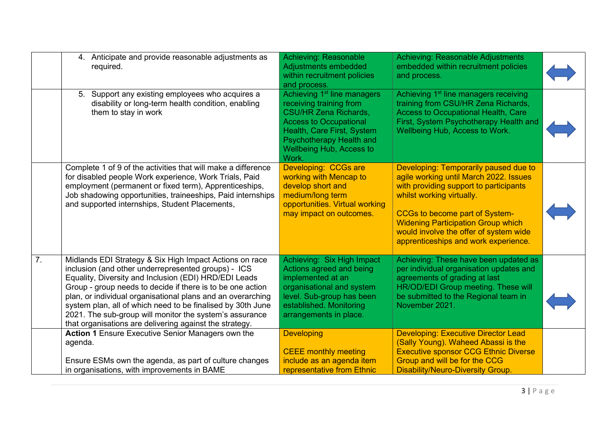|    | 4. Anticipate and provide reasonable adjustments as<br>required.                                                                                                                                                                                                                                                                                                                                                                                                                          | <b>Achieving: Reasonable</b><br>Adjustments embedded<br>within recruitment policies<br>and process.                                                                                                                                | Achieving: Reasonable Adjustments<br>embedded within recruitment policies<br>and process.                                                                                                                                                                                                                                      |  |
|----|-------------------------------------------------------------------------------------------------------------------------------------------------------------------------------------------------------------------------------------------------------------------------------------------------------------------------------------------------------------------------------------------------------------------------------------------------------------------------------------------|------------------------------------------------------------------------------------------------------------------------------------------------------------------------------------------------------------------------------------|--------------------------------------------------------------------------------------------------------------------------------------------------------------------------------------------------------------------------------------------------------------------------------------------------------------------------------|--|
|    | 5. Support any existing employees who acquires a<br>disability or long-term health condition, enabling<br>them to stay in work                                                                                                                                                                                                                                                                                                                                                            | Achieving 1 <sup>st</sup> line managers<br>receiving training from<br><b>CSU/HR Zena Richards,</b><br><b>Access to Occupational</b><br>Health, Care First, System<br>Psychotherapy Health and<br>Wellbeing Hub, Access to<br>Work. | Achieving 1 <sup>st</sup> line managers receiving<br>training from CSU/HR Zena Richards,<br><b>Access to Occupational Health, Care</b><br>First, System Psychotherapy Health and<br>Wellbeing Hub, Access to Work.                                                                                                             |  |
|    | Complete 1 of 9 of the activities that will make a difference<br>for disabled people Work experience, Work Trials, Paid<br>employment (permanent or fixed term), Apprenticeships,<br>Job shadowing opportunities, traineeships, Paid internships<br>and supported internships, Student Placements,                                                                                                                                                                                        | Developing: CCGs are<br>working with Mencap to<br>develop short and<br>medium/long term<br>opportunities. Virtual working<br>may impact on outcomes.                                                                               | Developing: Temporarily paused due to<br>agile working until March 2022. Issues<br>with providing support to participants<br>whilst working virtually.<br><b>CCGs to become part of System-</b><br><b>Widening Participation Group which</b><br>would involve the offer of system wide<br>apprenticeships and work experience. |  |
| 7. | Midlands EDI Strategy & Six High Impact Actions on race<br>inclusion (and other underrepresented groups) - ICS<br>Equality, Diversity and Inclusion (EDI) HRD/EDI Leads<br>Group - group needs to decide if there is to be one action<br>plan, or individual organisational plans and an overarching<br>system plan, all of which need to be finalised by 30th June<br>2021. The sub-group will monitor the system's assurance<br>that organisations are delivering against the strategy. | Achieving: Six High Impact<br>Actions agreed and being<br>implemented at an<br>organisational and system<br>level. Sub-group has been<br>established. Monitoring<br>arrangements in place.                                         | Achieving: These have been updated as<br>per individual organisation updates and<br>agreements of grading at last<br>HR/OD/EDI Group meeting. These will<br>be submitted to the Regional team in<br>November 2021.                                                                                                             |  |
|    | Action 1 Ensure Executive Senior Managers own the<br>agenda.<br>Ensure ESMs own the agenda, as part of culture changes<br>in organisations, with improvements in BAME                                                                                                                                                                                                                                                                                                                     | <b>Developing</b><br><b>CEEE monthly meeting</b><br>include as an agenda item<br>representative from Ethnic                                                                                                                        | <b>Developing: Executive Director Lead</b><br>(Sally Young). Waheed Abassi is the<br><b>Executive sponsor CCG Ethnic Diverse</b><br>Group and will be for the CCG<br><b>Disability/Neuro-Diversity Group.</b>                                                                                                                  |  |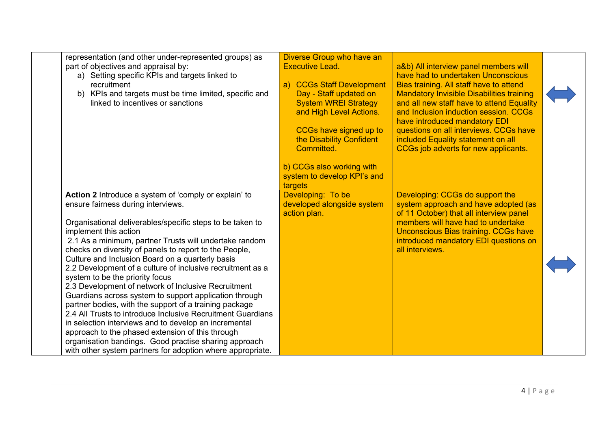| representation (and other under-represented groups) as<br>part of objectives and appraisal by:<br>a) Setting specific KPIs and targets linked to<br>recruitment<br>b) KPIs and targets must be time limited, specific and<br>linked to incentives or sanctions                                                                                                                                                                                                                                                                                                                                                                                                                                                                                                                                                                                                                                                                           | Diverse Group who have an<br><b>Executive Lead.</b><br><b>CCGs Staff Development</b><br>a)<br>Day - Staff updated on<br><b>System WREI Strategy</b><br>and High Level Actions.<br>CCGs have signed up to<br>the Disability Confident<br>Committed.<br>b) CCGs also working with<br>system to develop KPI's and<br>targets | a&b) All interview panel members will<br>have had to undertaken Unconscious<br>Bias training. All staff have to attend<br><b>Mandatory Invisible Disabilities training</b><br>and all new staff have to attend Equality<br>and Inclusion induction session. CCGs<br>have introduced mandatory EDI<br>questions on all interviews. CCGs have<br>included Equality statement on all<br>CCGs job adverts for new applicants. |  |
|------------------------------------------------------------------------------------------------------------------------------------------------------------------------------------------------------------------------------------------------------------------------------------------------------------------------------------------------------------------------------------------------------------------------------------------------------------------------------------------------------------------------------------------------------------------------------------------------------------------------------------------------------------------------------------------------------------------------------------------------------------------------------------------------------------------------------------------------------------------------------------------------------------------------------------------|---------------------------------------------------------------------------------------------------------------------------------------------------------------------------------------------------------------------------------------------------------------------------------------------------------------------------|---------------------------------------------------------------------------------------------------------------------------------------------------------------------------------------------------------------------------------------------------------------------------------------------------------------------------------------------------------------------------------------------------------------------------|--|
| Action 2 Introduce a system of 'comply or explain' to<br>ensure fairness during interviews.<br>Organisational deliverables/specific steps to be taken to<br>implement this action<br>2.1 As a minimum, partner Trusts will undertake random<br>checks on diversity of panels to report to the People,<br>Culture and Inclusion Board on a quarterly basis<br>2.2 Development of a culture of inclusive recruitment as a<br>system to be the priority focus<br>2.3 Development of network of Inclusive Recruitment<br>Guardians across system to support application through<br>partner bodies, with the support of a training package<br>2.4 All Trusts to introduce Inclusive Recruitment Guardians<br>in selection interviews and to develop an incremental<br>approach to the phased extension of this through<br>organisation bandings. Good practise sharing approach<br>with other system partners for adoption where appropriate. | Developing: To be<br>developed alongside system<br>action plan.                                                                                                                                                                                                                                                           | Developing: CCGs do support the<br>system approach and have adopted (as<br>of 11 October) that all interview panel<br>members will have had to undertake<br>Unconscious Bias training. CCGs have<br>introduced mandatory EDI questions on<br>all interviews.                                                                                                                                                              |  |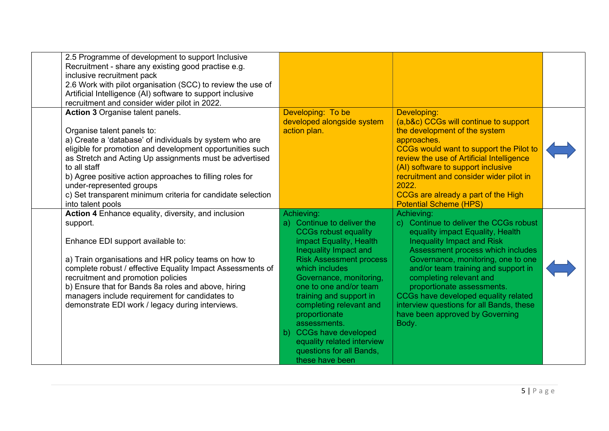| 2.5 Programme of development to support Inclusive<br>Recruitment - share any existing good practise e.g.<br>inclusive recruitment pack<br>2.6 Work with pilot organisation (SCC) to review the use of<br>Artificial Intelligence (AI) software to support inclusive<br>recruitment and consider wider pilot in 2022.                                                                                                                                 |                  |                                                                                                                                                                                                                                                                                                                                                                                                                          |                                                                                                                                                                                                                                                                                                                                                                                                                                   |  |
|------------------------------------------------------------------------------------------------------------------------------------------------------------------------------------------------------------------------------------------------------------------------------------------------------------------------------------------------------------------------------------------------------------------------------------------------------|------------------|--------------------------------------------------------------------------------------------------------------------------------------------------------------------------------------------------------------------------------------------------------------------------------------------------------------------------------------------------------------------------------------------------------------------------|-----------------------------------------------------------------------------------------------------------------------------------------------------------------------------------------------------------------------------------------------------------------------------------------------------------------------------------------------------------------------------------------------------------------------------------|--|
| <b>Action 3 Organise talent panels.</b><br>Organise talent panels to:<br>a) Create a 'database' of individuals by system who are<br>eligible for promotion and development opportunities such<br>as Stretch and Acting Up assignments must be advertised<br>to all staff<br>b) Agree positive action approaches to filling roles for<br>under-represented groups<br>c) Set transparent minimum criteria for candidate selection<br>into talent pools |                  | Developing: To be<br>developed alongside system<br>action plan.                                                                                                                                                                                                                                                                                                                                                          | Developing:<br>(a,b&c) CCGs will continue to support<br>the development of the system<br>approaches.<br>CCGs would want to support the Pilot to<br>review the use of Artificial Intelligence<br>(AI) software to support inclusive<br>recruitment and consider wider pilot in<br>2022.<br>CCGs are already a part of the High<br><b>Potential Scheme (HPS)</b>                                                                    |  |
| Action 4 Enhance equality, diversity, and inclusion<br>support.<br>Enhance EDI support available to:<br>a) Train organisations and HR policy teams on how to<br>complete robust / effective Equality Impact Assessments of<br>recruitment and promotion policies<br>b) Ensure that for Bands 8a roles and above, hiring<br>managers include requirement for candidates to<br>demonstrate EDI work / legacy during interviews.                        | Achieving:<br>b) | a) Continue to deliver the<br><b>CCGs robust equality</b><br>impact Equality, Health<br>Inequality Impact and<br><b>Risk Assessment process</b><br>which includes<br>Governance, monitoring,<br>one to one and/or team<br>training and support in<br>completing relevant and<br>proportionate<br>assessments.<br><b>CCGs have developed</b><br>equality related interview<br>questions for all Bands,<br>these have been | Achieving:<br>c) Continue to deliver the CCGs robust<br>equality impact Equality, Health<br>Inequality Impact and Risk<br>Assessment process which includes<br>Governance, monitoring, one to one<br>and/or team training and support in<br>completing relevant and<br>proportionate assessments.<br>CCGs have developed equality related<br>interview questions for all Bands, these<br>have been approved by Governing<br>Body. |  |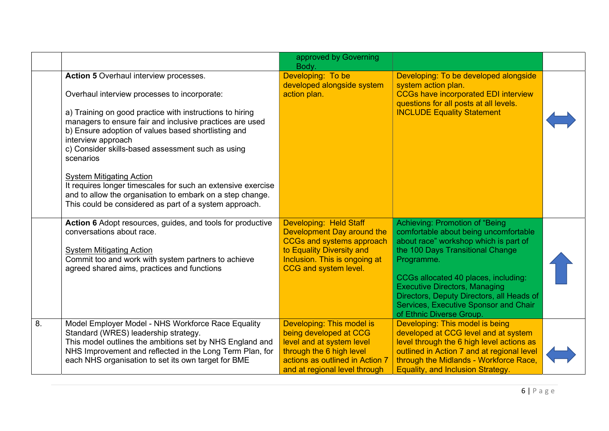|    |                                                                                                                                                                                                                                                                                                                                                                                                                                                                                                                                      | approved by Governing<br>Body.                                                                                                                                                         |                                                                                                                                                                                                                                                                                                                                                                      |  |
|----|--------------------------------------------------------------------------------------------------------------------------------------------------------------------------------------------------------------------------------------------------------------------------------------------------------------------------------------------------------------------------------------------------------------------------------------------------------------------------------------------------------------------------------------|----------------------------------------------------------------------------------------------------------------------------------------------------------------------------------------|----------------------------------------------------------------------------------------------------------------------------------------------------------------------------------------------------------------------------------------------------------------------------------------------------------------------------------------------------------------------|--|
|    | <b>Action 5</b> Overhaul interview processes.<br>Overhaul interview processes to incorporate:<br>a) Training on good practice with instructions to hiring<br>managers to ensure fair and inclusive practices are used<br>b) Ensure adoption of values based shortlisting and<br>interview approach<br>c) Consider skills-based assessment such as using<br>scenarios<br><b>System Mitigating Action</b><br>It requires longer timescales for such an extensive exercise<br>and to allow the organisation to embark on a step change. | Developing: To be<br>developed alongside system<br>action plan.                                                                                                                        | Developing: To be developed alongside<br>system action plan.<br><b>CCGs have incorporated EDI interview</b><br>questions for all posts at all levels.<br><b>INCLUDE Equality Statement</b>                                                                                                                                                                           |  |
|    | This could be considered as part of a system approach.<br>Action 6 Adopt resources, guides, and tools for productive<br>conversations about race.<br><b>System Mitigating Action</b><br>Commit too and work with system partners to achieve<br>agreed shared aims, practices and functions                                                                                                                                                                                                                                           | Developing: Held Staff<br>Development Day around the<br><b>CCGs and systems approach</b><br>to Equality Diversity and<br>Inclusion. This is ongoing at<br><b>CCG and system level.</b> | Achieving: Promotion of "Being<br>comfortable about being uncomfortable<br>about race" workshop which is part of<br>the 100 Days Transitional Change<br>Programme.<br>CCGs allocated 40 places, including:<br><b>Executive Directors, Managing</b><br>Directors, Deputy Directors, all Heads of<br>Services, Executive Sponsor and Chair<br>of Ethnic Diverse Group. |  |
| 8. | Model Employer Model - NHS Workforce Race Equality<br>Standard (WRES) leadership strategy.<br>This model outlines the ambitions set by NHS England and<br>NHS Improvement and reflected in the Long Term Plan, for<br>each NHS organisation to set its own target for BME                                                                                                                                                                                                                                                            | Developing: This model is<br>being developed at CCG<br>level and at system level<br>through the 6 high level<br>actions as outlined in Action 7<br>and at regional level through       | Developing: This model is being<br>developed at CCG level and at system<br>level through the 6 high level actions as<br>outlined in Action 7 and at regional level<br>through the Midlands - Workforce Race,<br>Equality, and Inclusion Strategy.                                                                                                                    |  |